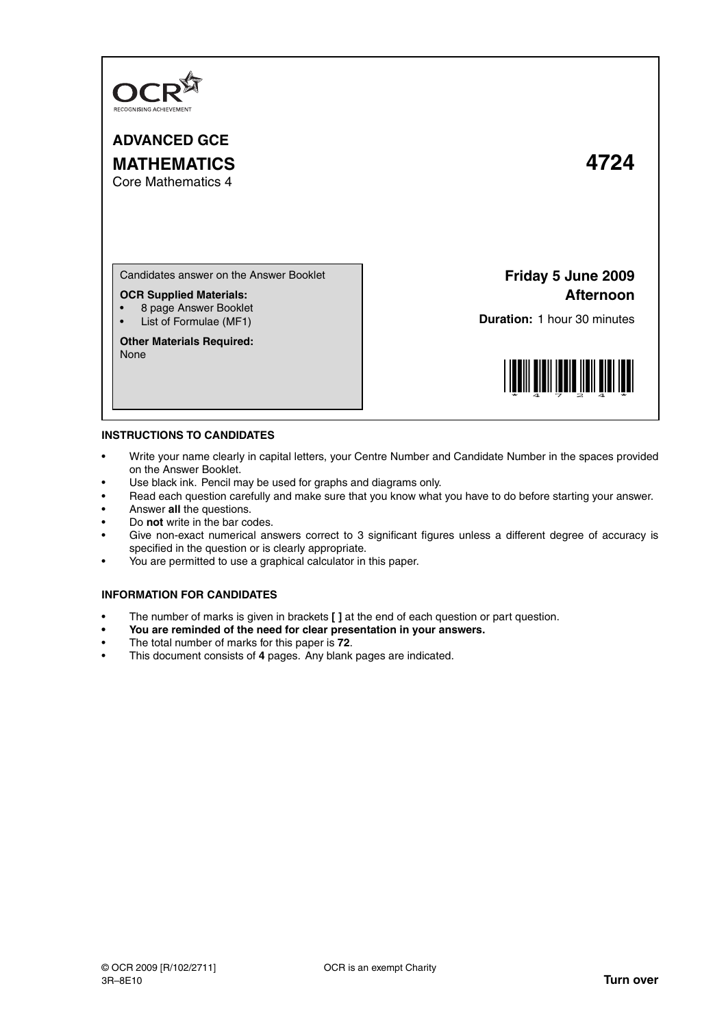

**ADVANCED GCE MATHEMATICS 4724**

Core Mathematics 4

Candidates answer on the Answer Booklet

## **OCR Supplied Materials:**

- 8 page Answer Booklet
- List of Formulae (MF1)

**Other Materials Required:** None

## **Friday 5 June 2009 Afternoon**

**Duration:** 1 hour 30 minutes



## **INSTRUCTIONS TO CANDIDATES**

- Write your name clearly in capital letters, your Centre Number and Candidate Number in the spaces provided on the Answer Booklet.
- Use black ink. Pencil may be used for graphs and diagrams only.
- Read each question carefully and make sure that you know what you have to do before starting your answer.
- Answer **all** the questions.
- Do **not** write in the bar codes.
- Give non-exact numerical answers correct to 3 significant figures unless a different degree of accuracy is specified in the question or is clearly appropriate.
- You are permitted to use a graphical calculator in this paper.

## **INFORMATION FOR CANDIDATES**

- The number of marks is given in brackets **[ ]** at the end of each question or part question.
- **You are reminded of the need for clear presentation in your answers.**
- The total number of marks for this paper is **72**.
- This document consists of **4** pages. Any blank pages are indicated.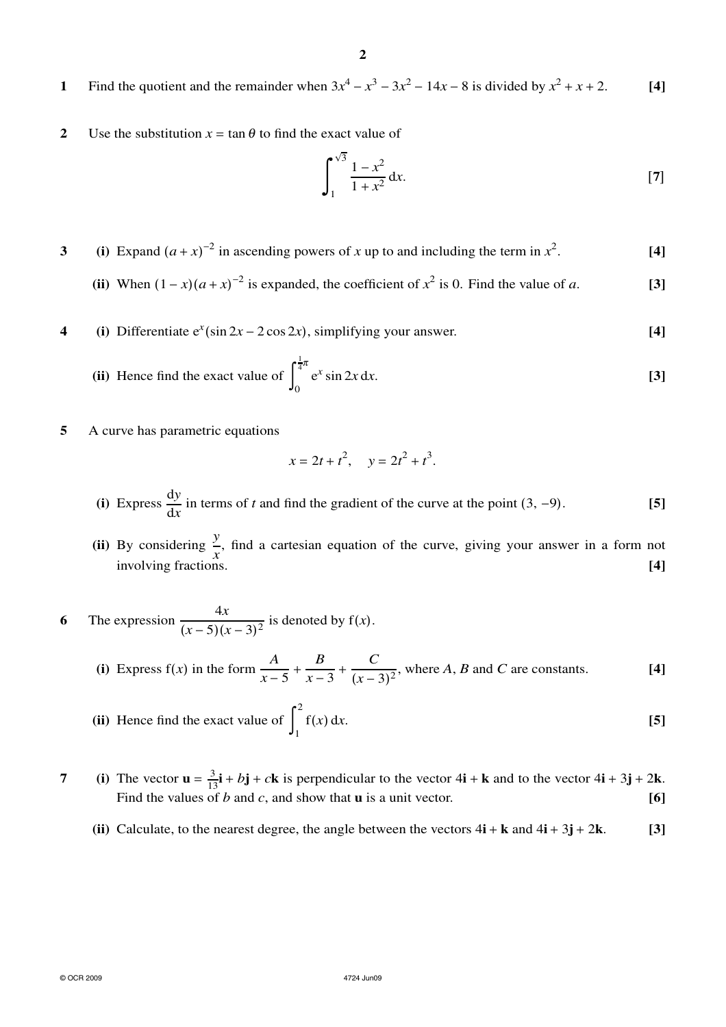- **1** Find the quotient and the remainder when  $3x^4 x^3 3x^2 14x 8$  is divided by  $x^2 + x + 2$ . [4]
- **2** Use the substitution  $x = \tan \theta$  to find the exact value of

$$
\int_{1}^{\sqrt{3}} \frac{1 - x^2}{1 + x^2} dx.
$$
 [7]

- **3** (i) Expand  $(a + x)^{-2}$  in ascending powers of *x* up to and including the term in  $x^2$ . **[4]**
	- (ii) When  $(1-x)(a+x)^{-2}$  is expanded, the coefficient of  $x^2$  is 0. Find the value of *a*. [3]
- **4** (i) Differentiate  $e^x(\sin 2x 2\cos 2x)$ , simplifying your answer. **[4]**

(ii) Hence find the exact value of 
$$
\int_0^{\frac{1}{4}\pi} e^x \sin 2x \, dx.
$$
 [3]

**5** A curve has parametric equations

$$
x = 2t + t^2, \quad y = 2t^2 + t^3.
$$

- (i) Express  $\frac{dy}{dx}$  $\frac{dy}{dx}$  in terms of *t* and find the gradient of the curve at the point (3, -9). **[5]**
- (ii) By considering  $\frac{y}{x}$ , find a cartesian equation of the curve, giving your answer in a form not involving fractions. **[4]**

**6** The expression  $\frac{4x}{6}$  $\frac{-x}{(x-5)(x-3)^2}$  is denoted by f(*x*).

> (i) Express  $f(x)$  in the form  $\frac{A}{x-5}$  + *B*  $\frac{x-3}{x-3}$ *C*  $\frac{C}{(x-3)^2}$ , where *A*, *B* and *C* are constants. **[4]**

(ii) Hence find the exact value of 
$$
\int_{1}^{2} f(x) dx.
$$
 [5]

- **7** (i) The vector  $\mathbf{u} = \frac{3}{13}\mathbf{i} + b\mathbf{j} + c\mathbf{k}$  is perpendicular to the vector  $4\mathbf{i} + \mathbf{k}$  and to the vector  $4\mathbf{i} + 3\mathbf{j} + 2\mathbf{k}$ . Find the values of *b* and *c*, and show that **u** is a unit vector.  $[6]$ 
	- **(ii)** Calculate, to the nearest degree, the angle between the vectors  $4\mathbf{i} + \mathbf{k}$  and  $4\mathbf{i} + 3\mathbf{j} + 2\mathbf{k}$ . [3]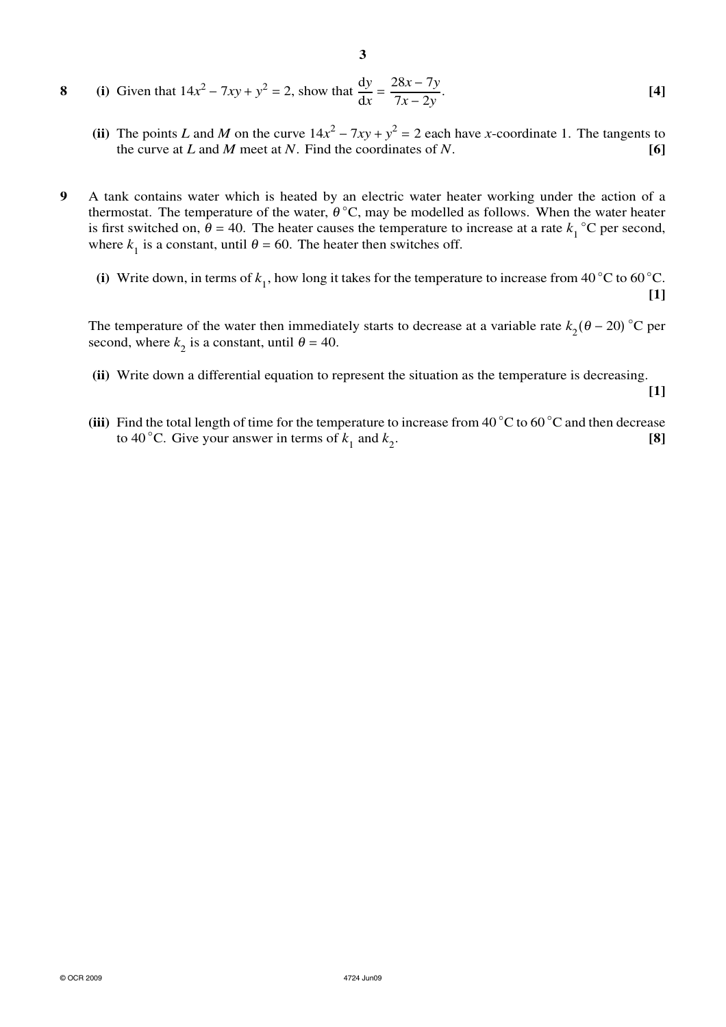8 (i) Given that 
$$
14x^2 - 7xy + y^2 = 2
$$
, show that  $\frac{dy}{dx} = \frac{28x - 7y}{7x - 2y}$ . [4]

- (ii) The points *L* and *M* on the curve  $14x^2 7xy + y^2 = 2$  each have *x*-coordinate 1. The tangents to the curve at *L* and *M* meet at *N*. Find the coordinates of *N*. **[6]**
- **9** A tank contains water which is heated by an electric water heater working under the action of a thermostat. The temperature of the water,  $\theta^{\circ}C$ , may be modelled as follows. When the water heater is first switched on,  $\theta = 40$ . The heater causes the temperature to increase at a rate  $k_1^{\circ}$ °C per second, where  $k_1$  is a constant, until  $\theta = 60$ . The heater then switches off.
	- (i) Write down, in terms of  $k_1$ , how long it takes for the temperature to increase from 40 °C to 60 °C. **[1]**

The temperature of the water then immediately starts to decrease at a variable rate  $k_2(\theta - 20)$  °C per second, where  $k_2$  is a constant, until  $\theta = 40$ .

**(ii)** Write down a differential equation to represent the situation as the temperature is decreasing.

**[1]**

**(iii)** Find the total length of time for the temperature to increase from 40 ◦C to 60 ◦C and then decrease to 40 °C. Give your answer in terms of  $k_1$  and  $k_2$ . **[8]**